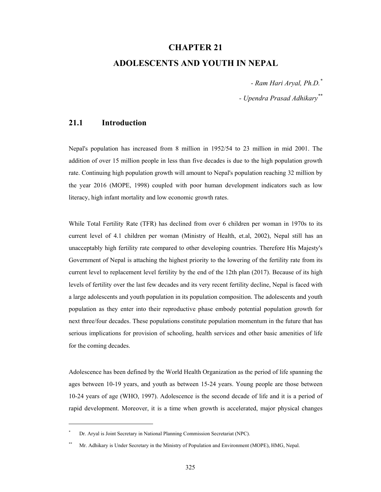# **CHAPTER 21**

# **ADOLESCENTS AND YOUTH IN NEPAL**

*- Ram Hari Aryal, Ph.D.\**

*- Upendra Prasad Adhikary\*\**

# **21.1 Introduction**

Nepal's population has increased from 8 million in 1952/54 to 23 million in mid 2001. The addition of over 15 million people in less than five decades is due to the high population growth rate. Continuing high population growth will amount to Nepal's population reaching 32 million by the year 2016 (MOPE, 1998) coupled with poor human development indicators such as low literacy, high infant mortality and low economic growth rates.

While Total Fertility Rate (TFR) has declined from over 6 children per woman in 1970s to its current level of 4.1 children per woman (Ministry of Health, et.al, 2002), Nepal still has an unacceptably high fertility rate compared to other developing countries. Therefore His Majesty's Government of Nepal is attaching the highest priority to the lowering of the fertility rate from its current level to replacement level fertility by the end of the 12th plan (2017). Because of its high levels of fertility over the last few decades and its very recent fertility decline, Nepal is faced with a large adolescents and youth population in its population composition. The adolescents and youth population as they enter into their reproductive phase embody potential population growth for next three/four decades. These populations constitute population momentum in the future that has serious implications for provision of schooling, health services and other basic amenities of life for the coming decades.

Adolescence has been defined by the World Health Organization as the period of life spanning the ages between 10-19 years, and youth as between 15-24 years. Young people are those between 10-24 years of age (WHO, 1997). Adolescence is the second decade of life and it is a period of rapid development. Moreover, it is a time when growth is accelerated, major physical changes

 $\overline{a}$ 

<sup>\*</sup> Dr. Aryal is Joint Secretary in National Planning Commission Secretariat (NPC).

Mr. Adhikary is Under Secretary in the Ministry of Population and Environment (MOPE), HMG, Nepal.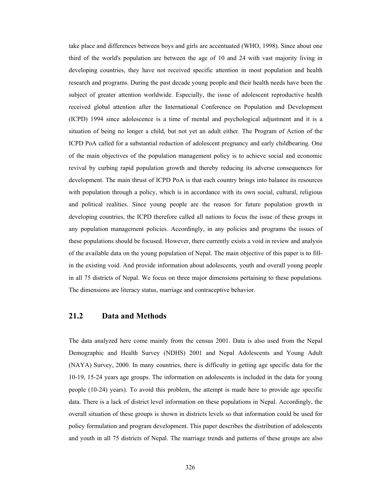take place and differences between boys and girls are accentuated (WHO, 1998). Since about one third of the world's population are between the age of 10 and 24 with vast majority living in developing countries, they have not received specific attention in most population and health research and programs. During the past decade young people and their health needs have been the subject of greater attention worldwide. Especially, the issue of adolescent reproductive health received global attention after the International Conference on Population and Development (ICPD) 1994 since adolescence is a time of mental and psychological adjustment and it is a situation of being no longer a child, but not yet an adult either. The Program of Action of the ICPD PoA called for a substantial reduction of adolescent pregnancy and early childbearing. One of the main objectives of the population management policy is to achieve social and economic revival by curbing rapid population growth and thereby reducing its adverse consequences for development. The main thrust of ICPD PoA is that each country brings into balance its resources with population through a policy, which is in accordance with its own social, cultural, religious and political realities. Since young people are the reason for future population growth in developing countries, the ICPD therefore called all nations to focus the issue of these groups in any population management policies. Accordingly, in any policies and programs the issues of these populations should be focused. However, there currently exists a void in review and analysis of the available data on the young population of Nepal. The main objective of this paper is to fillin the existing void. And provide information about adolescents, youth and overall young people in all 75 districts of Nepal. We focus on three major dimensions pertaining to these populations. The dimensions are literacy status, marriage and contraceptive behavior.

# **21.2 Data and Methods**

The data analyzed here come mainly from the census 2001. Data is also used from the Nepal Demographic and Health Survey (NDHS) 2001 and Nepal Adolescents and Young Adult (NAYA) Survey, 2000. In many countries, there is difficulty in getting age specific data for the 10-19, 15-24 years age groups. The information on adolescents is included in the data for young people (10-24) years). To avoid this problem, the attempt is made here to provide age specific data. There is a lack of district level information on these populations in Nepal. Accordingly, the overall situation of these groups is shown in districts levels so that information could be used for policy formulation and program development. This paper describes the distribution of adolescents and youth in all 75 districts of Nepal. The marriage trends and patterns of these groups are also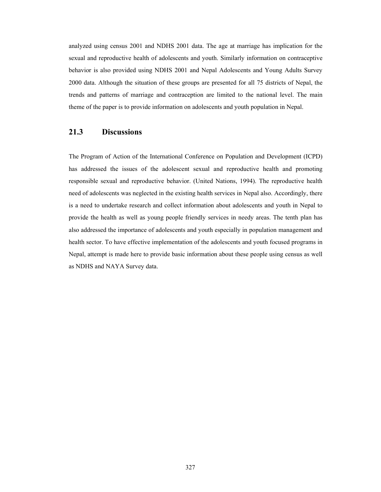analyzed using census 2001 and NDHS 2001 data. The age at marriage has implication for the sexual and reproductive health of adolescents and youth. Similarly information on contraceptive behavior is also provided using NDHS 2001 and Nepal Adolescents and Young Adults Survey 2000 data. Although the situation of these groups are presented for all 75 districts of Nepal, the trends and patterns of marriage and contraception are limited to the national level. The main theme of the paper is to provide information on adolescents and youth population in Nepal.

## **21.3 Discussions**

The Program of Action of the International Conference on Population and Development (ICPD) has addressed the issues of the adolescent sexual and reproductive health and promoting responsible sexual and reproductive behavior. (United Nations, 1994). The reproductive health need of adolescents was neglected in the existing health services in Nepal also. Accordingly, there is a need to undertake research and collect information about adolescents and youth in Nepal to provide the health as well as young people friendly services in needy areas. The tenth plan has also addressed the importance of adolescents and youth especially in population management and health sector. To have effective implementation of the adolescents and youth focused programs in Nepal, attempt is made here to provide basic information about these people using census as well as NDHS and NAYA Survey data.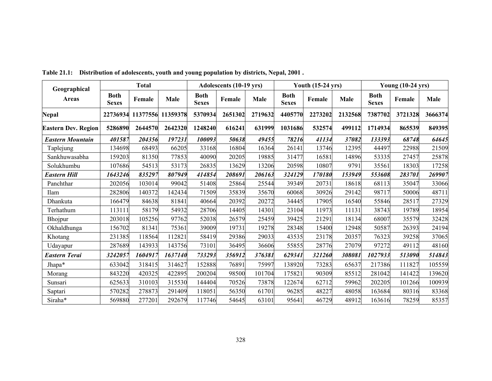| Geographical               |                             | <b>Total</b> |          |                             | Adolescents (10-19 yrs) |         |                             | <b>Youth (15-24 yrs)</b> |             | <b>Young (10-24 yrs)</b>    |         |         |
|----------------------------|-----------------------------|--------------|----------|-----------------------------|-------------------------|---------|-----------------------------|--------------------------|-------------|-----------------------------|---------|---------|
| <b>Areas</b>               | <b>Both</b><br><b>Sexes</b> | Female       | Male     | <b>Both</b><br><b>Sexes</b> | Female                  | Male    | <b>Both</b><br><b>Sexes</b> | Female                   | <b>Male</b> | <b>Both</b><br><b>Sexes</b> | Female  | Male    |
| Nepal                      | 22736934                    | 11377556     | 11359378 | 5370934                     | 2651302                 | 2719632 | 4405770                     | 2273202                  | 2132568     | 7387702                     | 3721328 | 3666374 |
| <b>Eastern Dev. Region</b> | 5286890                     | 2644570      | 2642320  | 1248240                     | 616241                  | 631999  | 1031686                     | 532574                   | 499112      | 1714934                     | 865539  | 849395  |
| <b>Eastern Mountain</b>    | 401587                      | 204356       | 197231   | 100093                      | 50638                   | 49455   | 78216                       | 41134                    | 37082       | 133393                      | 68748   | 64645   |
| Taplejung                  | 134698                      | 68493        | 66205    | 33168                       | 16804                   | 16364   | 26141                       | 13746                    | 12395       | 44497                       | 22988   | 21509   |
| Sankhuwasabha              | 159203                      | 81350        | 77853    | 40090                       | 20205                   | 19885   | 31477                       | 16581                    | 14896       | 53335                       | 27457   | 25878   |
| Solukhumbu                 | 107686                      | 54513        | 53173    | 26835                       | 13629                   | 13206   | 20598                       | 10807                    | 9791        | 35561                       | 18303   | 17258   |
| <b>Eastern Hill</b>        | 1643246                     | 835297       | 807949   | 414854                      | 208691                  | 206163  | 324129                      | 170180                   | 153949      | 553608                      | 283701  | 269907  |
| Panchthar                  | 202056                      | 103014       | 99042    | 51408                       | 25864                   | 25544   | 39349                       | 20731                    | 18618       | 68113                       | 35047   | 33066   |
| Ilam                       | 282806                      | 140372       | 142434   | 71509                       | 35839                   | 35670   | 60068                       | 30926                    | 29142       | 98717                       | 50006   | 48711   |
| Dhankuta                   | 166479                      | 84638        | 81841    | 40664                       | 20392                   | 20272   | 34445                       | 17905                    | 16540       | 55846                       | 28517   | 27329   |
| Terhathum                  | 113111                      | 58179        | 54932    | 28706                       | 14405                   | 14301   | 23104                       | 11973                    | 11131       | 38743                       | 19789   | 18954   |
| Bhojpur                    | 203018                      | 105256       | 97762    | 52038                       | 26579                   | 25459   | 39425                       | 21291                    | 18134       | 68007                       | 35579   | 32428   |
| Okhaldhunga                | 156702                      | 81341        | 75361    | 39009                       | 19731                   | 19278   | 28348                       | 15400                    | 12948       | 50587                       | 26393   | 24194   |
| Khotang                    | 231385                      | 118564       | 112821   | 58419                       | 29386                   | 29033   | 43535                       | 23178                    | 20357       | 76323                       | 39258   | 37065   |
| Udayapur                   | 287689                      | 143933       | 143756   | 73101                       | 36495                   | 36606   | 55855                       | 28776                    | 27079       | 97272                       | 49112   | 48160   |
| <b>Eastern Terai</b>       | 3242057                     | 1604917      | 1637140  | 733293                      | 356912                  | 376381  | 629341                      | 321260                   | 308081      | 1027933                     | 513090  | 514843  |
| Jhapa*                     | 633042                      | 318415       | 314627   | 152888                      | 76891                   | 75997   | 138920                      | 73283                    | 65637       | 217386                      | 111827  | 105559  |
| Morang                     | 843220                      | 420325       | 422895   | 200204                      | 98500                   | 101704  | 175821                      | 90309                    | 85512       | 281042                      | 141422  | 139620  |
| Sunsari                    | 625633                      | 310103       | 315530   | 144404                      | 70526                   | 73878   | 122674                      | 62712                    | 59962       | 202205                      | 101266  | 100939  |
| Saptari                    | 570282                      | 278873       | 291409   | 118051                      | 56350                   | 61701   | 96285                       | 48227                    | 48058       | 163684                      | 80316   | 83368   |
| Siraha*                    | 569880                      | 277201       | 292679   | 117746                      | 54645                   | 63101   | 95641                       | 46729                    | 48912       | 163616                      | 78259   | 85357   |

**Table 21.1: Distribution of adolescents, youth and young population by districts, Nepal, 2001 .**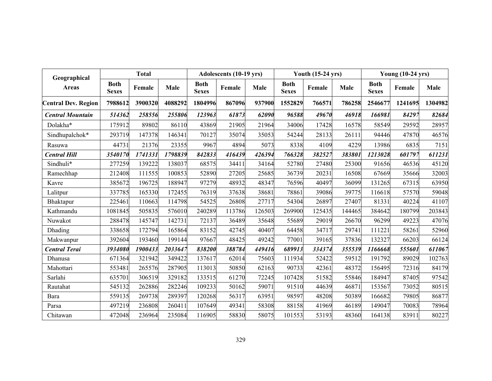| Geographical               |                             | <b>Total</b> |         |                             | Adolescents (10-19 yrs) |        |                             | <b>Youth (15-24 yrs)</b> |        |                             | <b>Young (10-24 yrs)</b> |         |
|----------------------------|-----------------------------|--------------|---------|-----------------------------|-------------------------|--------|-----------------------------|--------------------------|--------|-----------------------------|--------------------------|---------|
| <b>Areas</b>               | <b>Both</b><br><b>Sexes</b> | Female       | Male    | <b>Both</b><br><b>Sexes</b> | Female                  | Male   | <b>Both</b><br><b>Sexes</b> | Female                   | Male   | <b>Both</b><br><b>Sexes</b> | Female                   | Male    |
| <b>Central Dev. Region</b> | 7988612                     | 3900320      | 4088292 | 1804996                     | 867096                  | 937900 | 1552829                     | 766571                   | 786258 | 2546677                     | 1241695                  | 1304982 |
| <b>Central Mountain</b>    | 514362                      | 258556       | 255806  | 123963                      | 61873                   | 62090  | 96588                       | 49670                    | 46918  | 166981                      | 84297                    | 82684   |
| Dolakha*                   | 175912                      | 89802        | 86110   | 43869                       | 21905                   | 21964  | 34006                       | 17428                    | 16578  | 58549                       | 29592                    | 28957   |
| Sindhupalchok*             | 293719                      | 147378       | 146341  | 70127                       | 35074                   | 35053  | 54244                       | 28133                    | 26111  | 94446                       | 47870                    | 46576   |
| Rasuwa                     | 44731                       | 21376        | 23355   | 9967                        | 4894                    | 5073   | 8338                        | 4109                     | 4229   | 13986                       | 6835                     | 7151    |
| <b>Central Hill</b>        | 3540170                     | 1741331      | 1798839 | 842833                      | 416439                  | 426394 | 766328                      | 382527                   | 383801 | 1213028                     | 601797                   | 611231  |
| Sindhuli*                  | 277259                      | 139222       | 138037  | 68575                       | 34411                   | 34164  | 52780                       | 27480                    | 25300  | 91656                       | 46536                    | 45120   |
| Ramechhap                  | 212408                      | 111555       | 100853  | 52890                       | 27205                   | 25685  | 36739                       | 20231                    | 16508  | 67669                       | 35666                    | 32003   |
| Kavre                      | 385672                      | 196725       | 188947  | 97279                       | 48932                   | 48347  | 76596                       | 40497                    | 36099  | 131265                      | 67315                    | 63950   |
| Lalitpur                   | 337785                      | 165330       | 172455  | 76319                       | 37638                   | 38681  | 78861                       | 39086                    | 39775  | 116618                      | 57570                    | 59048   |
| Bhaktapur                  | 225461                      | 110663       | 114798  | 54525                       | 26808                   | 27717  | 54304                       | 26897                    | 27407  | 81331                       | 40224                    | 41107   |
| Kathmandu                  | 1081845                     | 505835       | 576010  | 240289                      | 113786                  | 126503 | 269900                      | 125435                   | 144465 | 384642                      | 180799                   | 203843  |
| Nuwakot                    | 288478                      | 145747       | 142731  | 72137                       | 36489                   | 35648  | 55689                       | 29019                    | 26670  | 96299                       | 49223                    | 47076   |
| Dhading                    | 338658                      | 172794       | 165864  | 83152                       | 42745                   | 40407  | 64458                       | 34717                    | 29741  | 111221                      | 58261                    | 52960   |
| Makwanpur                  | 392604                      | 193460       | 199144  | 97667                       | 48425                   | 49242  | 77001                       | 39165                    | 37836  | 132327                      | 66203                    | 66124   |
| <b>Central Terai</b>       | 3934080                     | 1900433      | 2033647 | 838200                      | 388784                  | 449416 | 689913                      | 334374                   | 355539 | 1166668                     | 555601                   | 611067  |
| Dhanusa                    | 671364                      | 321942       | 349422  | 137617                      | 62014                   | 75603  | 111934                      | 52422                    | 59512  | 191792                      | 89029                    | 102763  |
| Mahottari                  | 553481                      | 265576       | 287905  | 113013                      | 50850                   | 62163  | 90733                       | 42361                    | 48372  | 156495                      | 72316                    | 84179   |
| Sarlahi                    | 635701                      | 306519       | 329182  | 133515                      | 61270                   | 72245  | 107428                      | 51582                    | 55846  | 184947                      | 87405                    | 97542   |
| Rautahat                   | 545132                      | 262886       | 282246  | 109233                      | 50162                   | 59071  | 91510                       | 44639                    | 46871  | 153567                      | 73052                    | 80515   |
| Bara                       | 559135                      | 269738       | 289397  | 120268                      | 56317                   | 63951  | 98597                       | 48208                    | 50389  | 166682                      | 79805                    | 86877   |
| Parsa                      | 497219                      | 236808       | 260411  | 107649                      | 49341                   | 58308  | 88158                       | 41969                    | 46189  | 149047                      | 70083                    | 78964   |
| Chitawan                   | 472048                      | 236964       | 235084  | 116905                      | 58830                   | 58075  | 101553                      | 53193                    | 48360  | 164138                      | 83911                    | 80227   |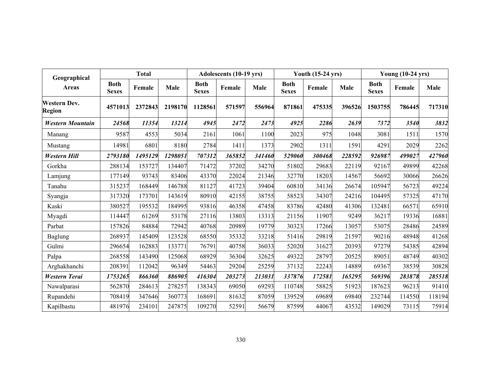| Geographical                         |                             | <b>Total</b> |         |                             | Adolescents (10-19 yrs) |        |                             | <b>Youth (15-24 yrs)</b> |             |                             | <b>Young (10-24 yrs)</b> |        |
|--------------------------------------|-----------------------------|--------------|---------|-----------------------------|-------------------------|--------|-----------------------------|--------------------------|-------------|-----------------------------|--------------------------|--------|
| <b>Areas</b>                         | <b>Both</b><br><b>Sexes</b> | Female       | Male    | <b>Both</b><br><b>Sexes</b> | Female                  | Male   | <b>Both</b><br><b>Sexes</b> | Female                   | <b>Male</b> | <b>Both</b><br><b>Sexes</b> | Female                   | Male   |
| <b>Western Dev.</b><br><b>Region</b> | 4571013                     | 2372843      | 2198170 | 1128561                     | 571597                  | 556964 | 871861                      | 475335                   | 396526      | 1503755                     | 786445                   | 717310 |
| <b>Western Mountain</b>              | 24568                       | 11354        | 13214   | 4945                        | 2472                    | 2473   | 4925                        | 2286                     | 2639        | 7372                        | 3540                     | 3832   |
| Manang                               | 9587                        | 4553         | 5034    | 2161                        | 1061                    | 1100   | 2023                        | 975                      | 1048        | 3081                        | 1511                     | 1570   |
| Mustang                              | 14981                       | 6801         | 8180    | 2784                        | 1411                    | 1373   | 2902                        | 1311                     | 1591        | 4291                        | 2029                     | 2262   |
| Western Hill                         | 2793180                     | 1495129      | 1298051 | 707312                      | 365852                  | 341460 | 529060                      | 300468                   | 228592      | 926987                      | 499027                   | 427960 |
| Gorkha                               | 288134                      | 153727       | 134407  | 71472                       | 37202                   | 34270  | 51802                       | 29683                    | 22119       | 92167                       | 49899                    | 42268  |
| Lamjung                              | 177149                      | 93743        | 83406   | 43370                       | 22024                   | 21346  | 32770                       | 18203                    | 14567       | 56692                       | 30066                    | 26626  |
| Tanahu                               | 315237                      | 168449       | 146788  | 81127                       | 41723                   | 39404  | 60810                       | 34136                    | 26674       | 105947                      | 56723                    | 49224  |
| Syangja                              | 317320                      | 173701       | 143619  | 80910                       | 42155                   | 38755  | 58523                       | 34307                    | 24216       | 104495                      | 57325                    | 47170  |
| Kaski                                | 380527                      | 195532       | 184995  | 93816                       | 46358                   | 47458  | 83786                       | 42480                    | 41306       | 132481                      | 66571                    | 65910  |
| Myagdi                               | 114447                      | 61269        | 53178   | 27116                       | 13803                   | 13313  | 21156                       | 11907                    | 9249        | 36217                       | 19336                    | 16881  |
| Parbat                               | 157826                      | 84884        | 72942   | 40768                       | 20989                   | 19779  | 30323                       | 17266                    | 13057       | 53075                       | 28486                    | 24589  |
| <b>Baglung</b>                       | 268937                      | 145409       | 123528  | 68550                       | 35332                   | 33218  | 51416                       | 29819                    | 21597       | 90216                       | 48948                    | 41268  |
| Gulmi                                | 296654                      | 162883       | 133771  | 76791                       | 40758                   | 36033  | 52020                       | 31627                    | 20393       | 97279                       | 54385                    | 42894  |
| Palpa                                | 268558                      | 143490       | 125068  | 68929                       | 36304                   | 32625  | 49322                       | 28797                    | 20525       | 89051                       | 48749                    | 40302  |
| Arghakhanchi                         | 208391                      | 112042       | 96349   | 54463                       | 29204                   | 25259  | 37132                       | 22243                    | 14889       | 69367                       | 38539                    | 30828  |
| <b>Western Terai</b>                 | 1753265                     | 866360       | 886905  | 416304                      | 203273                  | 213031 | 337876                      | 172581                   | 165295      | 569396                      | 283878                   | 285518 |
| Nawalparasi                          | 562870                      | 284613       | 278257  | 138343                      | 69050                   | 69293  | 110748                      | 58825                    | 51923       | 187623                      | 96213                    | 91410  |
| Rupandehi                            | 708419                      | 347646       | 360773  | 168691                      | 81632                   | 87059  | 139529                      | 69689                    | 69840       | 232744                      | 114550                   | 118194 |
| Kapilbastu                           | 481976                      | 234101       | 247875  | 109270                      | 52591                   | 56679  | 87599                       | 44067                    | 43532       | 149029                      | 73115                    | 75914  |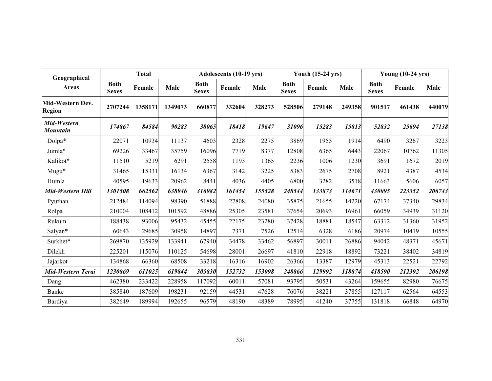| Geographical                      |                             | <b>Total</b> |         |                             | Adolescents (10-19 yrs) |        |                             | <b>Youth (15-24 yrs)</b> |             | <b>Young (10-24 yrs)</b>    |        |        |
|-----------------------------------|-----------------------------|--------------|---------|-----------------------------|-------------------------|--------|-----------------------------|--------------------------|-------------|-----------------------------|--------|--------|
| Areas                             | <b>Both</b><br><b>Sexes</b> | Female       | Male    | <b>Both</b><br><b>Sexes</b> | Female                  | Male   | <b>Both</b><br><b>Sexes</b> | Female                   | <b>Male</b> | <b>Both</b><br><b>Sexes</b> | Female | Male   |
| Mid-Western Dev.<br><b>Region</b> | 2707244                     | 1358171      | 1349073 | 660877                      | 332604                  | 328273 | 528506                      | 279148                   | 249358      | 901517                      | 461438 | 440079 |
| Mid-Western<br>Mountain           | 174867                      | 84584        | 90283   | 38065                       | 18418                   | 19647  | 31096                       | 15283                    | 15813       | 52832                       | 25694  | 27138  |
| Dolpa*                            | 22071                       | 10934        | 11137   | 4603                        | 2328                    | 2275   | 3869                        | 1955                     | 1914        | 6490                        | 3267   | 3223   |
| Jumla*                            | 69226                       | 33467        | 35759   | 16096                       | 7719                    | 8377   | 12808                       | 6365                     | 6443        | 22067                       | 10762  | 11305  |
| Kalikot*                          | 11510                       | 5219         | 6291    | 2558                        | 1193                    | 1365   | 2236                        | 1006                     | 1230        | 3691                        | 1672   | 2019   |
| Mugu*                             | 31465                       | 15331        | 16134   | 6367                        | 3142                    | 3225   | 5383                        | 2675                     | 2708        | 8921                        | 4387   | 4534   |
| Humla                             | 40595                       | 19633        | 20962   | 8441                        | 4036                    | 4405   | 6800                        | 3282                     | 3518        | 11663                       | 5606   | 6057   |
| Mid-Western Hill                  | 1301508                     | 662562       | 638946  | 316982                      | 161454                  | 155528 | 248544                      | 133873                   | 114671      | 430095                      | 223352 | 206743 |
| Pyuthan                           | 212484                      | 114094       | 98390   | 51888                       | 27808                   | 24080  | 35875                       | 21655                    | 14220       | 67174                       | 37340  | 29834  |
| Rolpa                             | 210004                      | 108412       | 101592  | 48886                       | 25305                   | 23581  | 37654                       | 20693                    | 16961       | 66059                       | 34939  | 31120  |
| Rukum                             | 188438                      | 93006        | 95432   | 45455                       | 22175                   | 23280  | 37428                       | 18881                    | 18547       | 63312                       | 31360  | 31952  |
| Salyan*                           | 60643                       | 29685        | 30958   | 14897                       | 7371                    | 7526   | 12514                       | 6328                     | 6186        | 20974                       | 10419  | 10555  |
| Surkhet*                          | 269870                      | 135929       | 133941  | 67940                       | 34478                   | 33462  | 56897                       | 30011                    | 26886       | 94042                       | 48371  | 45671  |
| Dilekh                            | 225201                      | 115076       | 110125  | 54698                       | 28001                   | 26697  | 41810                       | 22918                    | 18892       | 73221                       | 38402  | 34819  |
| Jajarkot                          | 134868                      | 66360        | 68508   | 33218                       | 16316                   | 16902  | 26366                       | 13387                    | 12979       | 45313                       | 22521  | 22792  |
| Mid-Western Terai                 | 1230869                     | 611025       | 619844  | 305830                      | 152732                  | 153098 | 248866                      | 129992                   | 118874      | 418590                      | 212392 | 206198 |
| Dang                              | 462380                      | 233422       | 228958  | 117092                      | 60011                   | 57081  | 93795                       | 50531                    | 43264       | 159655                      | 82980  | 76675  |
| Banke                             | 385840                      | 187609       | 198231  | 92159                       | 44531                   | 47628  | 76076                       | 38221                    | 37855       | 127117                      | 62564  | 64553  |
| Bardiya                           | 382649                      | 189994       | 192655  | 96579                       | 48190                   | 48389  | 78995                       | 41240                    | 37755       | 131818                      | 66848  | 64970  |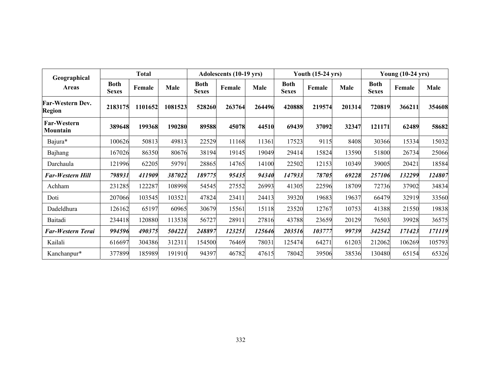| Geographical                      |                             | Total   |         |                             | Adolescents (10-19 yrs) |        |                             | <b>Youth (15-24 yrs)</b> |        | <b>Young (10-24 yrs)</b>    |        |        |
|-----------------------------------|-----------------------------|---------|---------|-----------------------------|-------------------------|--------|-----------------------------|--------------------------|--------|-----------------------------|--------|--------|
| <b>Areas</b>                      | <b>Both</b><br><b>Sexes</b> | Female  | Male    | <b>Both</b><br><b>Sexes</b> | Female                  | Male   | <b>Both</b><br><b>Sexes</b> | Female                   | Male   | <b>Both</b><br><b>Sexes</b> | Female | Male   |
| Far-Western Dev.<br><b>Region</b> | 2183175                     | 1101652 | 1081523 | 528260                      | 263764                  | 264496 | 420888                      | 219574                   | 201314 | 720819                      | 366211 | 354608 |
| <b>Far-Western</b><br>Mountain    | 389648                      | 199368  | 190280  | 89588                       | 45078                   | 44510  | 69439                       | 37092                    | 32347  | 121171                      | 62489  | 58682  |
| Bajura*                           | 100626                      | 50813   | 49813   | 22529                       | 11168                   | 11361  | 17523                       | 9115                     | 8408   | 30366                       | 15334  | 15032  |
| Bajhang                           | 167026                      | 86350   | 80676   | 38194                       | 19145                   | 19049  | 29414                       | 15824                    | 13590  | 51800                       | 26734  | 25066  |
| Darchaula                         | 121996                      | 62205   | 59791   | 28865                       | 14765                   | 14100  | 22502                       | 12153                    | 10349  | 39005                       | 20421  | 18584  |
| Far-Western Hill                  | 798931                      | 411909  | 387022  | 189775                      | 95435                   | 94340  | 147933                      | 78705                    | 69228  | 257106                      | 132299 | 124807 |
| Achham                            | 231285                      | 122287  | 108998  | 54545                       | 27552                   | 26993  | 41305                       | 22596                    | 18709  | 72736                       | 37902  | 34834  |
| Doti                              | 207066                      | 103545  | 103521  | 47824                       | 23411                   | 24413  | 39320                       | 19683                    | 19637  | 66479                       | 32919  | 33560  |
| Dadeldhura                        | 126162                      | 65197   | 60965   | 30679                       | 15561                   | 15118  | 23520                       | 12767                    | 10753  | 41388                       | 21550  | 19838  |
| Baitadi                           | 234418                      | 120880  | 113538  | 56727                       | 28911                   | 27816  | 43788                       | 23659                    | 20129  | 76503                       | 39928  | 36575  |
| Far-Western Terai                 | 994596                      | 490375  | 504221  | 248897                      | 123251                  | 125646 | 203516                      | 103777                   | 99739  | 342542                      | 171423 | 171119 |
| Kailali                           | 616697                      | 304386  | 312311  | 154500                      | 76469                   | 78031  | 125474                      | 64271                    | 61203  | 212062                      | 106269 | 105793 |
| Kanchanpur*                       | 377899                      | 185989  | 191910  | 94397                       | 46782                   | 47615  | 78042                       | 39506                    | 38536  | 130480                      | 65154  | 65326  |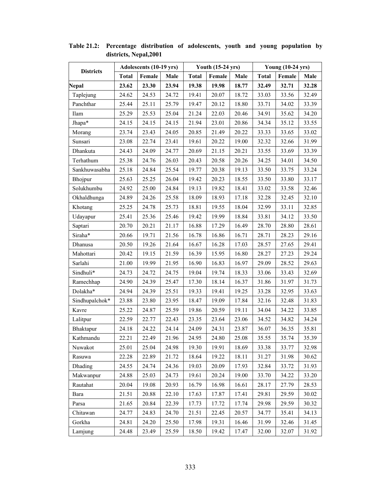|                  |              | Adolescents (10-19 yrs) |       |              | <b>Youth (15-24 yrs)</b> |       |              | <b>Young (10-24 yrs)</b> |       |
|------------------|--------------|-------------------------|-------|--------------|--------------------------|-------|--------------|--------------------------|-------|
| <b>Districts</b> | <b>Total</b> | Female                  | Male  | <b>Total</b> | Female                   | Male  | <b>Total</b> | Female                   | Male  |
| Nepal            | 23.62        | 23.30                   | 23.94 | 19.38        | 19.98                    | 18.77 | 32.49        | 32.71                    | 32.28 |
| Taplejung        | 24.62        | 24.53                   | 24.72 | 19.41        | 20.07                    | 18.72 | 33.03        | 33.56                    | 32.49 |
| Panchthar        | 25.44        | 25.11                   | 25.79 | 19.47        | 20.12                    | 18.80 | 33.71        | 34.02                    | 33.39 |
| Ilam             | 25.29        | 25.53                   | 25.04 | 21.24        | 22.03                    | 20.46 | 34.91        | 35.62                    | 34.20 |
| Jhapa*           | 24.15        | 24.15                   | 24.15 | 21.94        | 23.01                    | 20.86 | 34.34        | 35.12                    | 33.55 |
| Morang           | 23.74        | 23.43                   | 24.05 | 20.85        | 21.49                    | 20.22 | 33.33        | 33.65                    | 33.02 |
| Sunsari          | 23.08        | 22.74                   | 23.41 | 19.61        | 20.22                    | 19.00 | 32.32        | 32.66                    | 31.99 |
| Dhankuta         | 24.43        | 24.09                   | 24.77 | 20.69        | 21.15                    | 20.21 | 33.55        | 33.69                    | 33.39 |
| Terhathum        | 25.38        | 24.76                   | 26.03 | 20.43        | 20.58                    | 20.26 | 34.25        | 34.01                    | 34.50 |
| Sankhuwasabha    | 25.18        | 24.84                   | 25.54 | 19.77        | 20.38                    | 19.13 | 33.50        | 33.75                    | 33.24 |
| Bhojpur          | 25.63        | 25.25                   | 26.04 | 19.42        | 20.23                    | 18.55 | 33.50        | 33.80                    | 33.17 |
| Solukhumbu       | 24.92        | 25.00                   | 24.84 | 19.13        | 19.82                    | 18.41 | 33.02        | 33.58                    | 32.46 |
| Okhaldhunga      | 24.89        | 24.26                   | 25.58 | 18.09        | 18.93                    | 17.18 | 32.28        | 32.45                    | 32.10 |
| Khotang          | 25.25        | 24.78                   | 25.73 | 18.81        | 19.55                    | 18.04 | 32.99        | 33.11                    | 32.85 |
| Udayapur         | 25.41        | 25.36                   | 25.46 | 19.42        | 19.99                    | 18.84 | 33.81        | 34.12                    | 33.50 |
| Saptari          | 20.70        | 20.21                   | 21.17 | 16.88        | 17.29                    | 16.49 | 28.70        | 28.80                    | 28.61 |
| Siraha*          | 20.66        | 19.71                   | 21.56 | 16.78        | 16.86                    | 16.71 | 28.71        | 28.23                    | 29.16 |
| Dhanusa          | 20.50        | 19.26                   | 21.64 | 16.67        | 16.28                    | 17.03 | 28.57        | 27.65                    | 29.41 |
| Mahottari        | 20.42        | 19.15                   | 21.59 | 16.39        | 15.95                    | 16.80 | 28.27        | 27.23                    | 29.24 |
| Sarlahi          | 21.00        | 19.99                   | 21.95 | 16.90        | 16.83                    | 16.97 | 29.09        | 28.52                    | 29.63 |
| Sindhuli*        | 24.73        | 24.72                   | 24.75 | 19.04        | 19.74                    | 18.33 | 33.06        | 33.43                    | 32.69 |
| Ramechhap        | 24.90        | 24.39                   | 25.47 | 17.30        | 18.14                    | 16.37 | 31.86        | 31.97                    | 31.73 |
| Dolakha*         | 24.94        | 24.39                   | 25.51 | 19.33        | 19.41                    | 19.25 | 33.28        | 32.95                    | 33.63 |
| Sindhupalchok*   | 23.88        | 23.80                   | 23.95 | 18.47        | 19.09                    | 17.84 | 32.16        | 32.48                    | 31.83 |
| Kavre            | 25.22        | 24.87                   | 25.59 | 19.86        | 20.59                    | 19.11 | 34.04        | 34.22                    | 33.85 |
| Lalitpur         | 22.59        | 22.77                   | 22.43 | 23.35        | 23.64                    | 23.06 | 34.52        | 34.82                    | 34.24 |
| Bhaktapur        | 24.18        | 24.22                   | 24.14 | 24.09        | 24.31                    | 23.87 | 36.07        | 36.35                    | 35.81 |
| Kathmandu        | 22.21        | 22.49                   | 21.96 | 24.95        | 24.80                    | 25.08 | 35.55        | 35.74                    | 35.39 |
| Nuwakot          | 25.01        | 25.04                   | 24.98 | 19.30        | 19.91                    | 18.69 | 33.38        | 33.77                    | 32.98 |
| Rasuwa           | 22.28        | 22.89                   | 21.72 | 18.64        | 19.22                    | 18.11 | 31.27        | 31.98                    | 30.62 |
| <b>Dhading</b>   | 24.55        | 24.74                   | 24.36 | 19.03        | 20.09                    | 17.93 | 32.84        | 33.72                    | 31.93 |
| Makwanpur        | 24.88        | 25.03                   | 24.73 | 19.61        | 20.24                    | 19.00 | 33.70        | 34.22                    | 33.20 |
| Rautahat         | 20.04        | 19.08                   | 20.93 | 16.79        | 16.98                    | 16.61 | 28.17        | 27.79                    | 28.53 |
| Bara             | 21.51        | 20.88                   | 22.10 | 17.63        | 17.87                    | 17.41 | 29.81        | 29.59                    | 30.02 |
| Parsa            | 21.65        | 20.84                   | 22.39 | 17.73        | 17.72                    | 17.74 | 29.98        | 29.59                    | 30.32 |
| Chitawan         | 24.77        | 24.83                   | 24.70 | 21.51        | 22.45                    | 20.57 | 34.77        | 35.41                    | 34.13 |
| Gorkha           | 24.81        | 24.20                   | 25.50 | 17.98        | 19.31                    | 16.46 | 31.99        | 32.46                    | 31.45 |
| Lamjung          | 24.48        | 23.49                   | 25.59 | 18.50        | 19.42                    | 17.47 | 32.00        | 32.07                    | 31.92 |

**Table 21.2: Percentage distribution of adolescents, youth and young population by districts, Nepal,2001**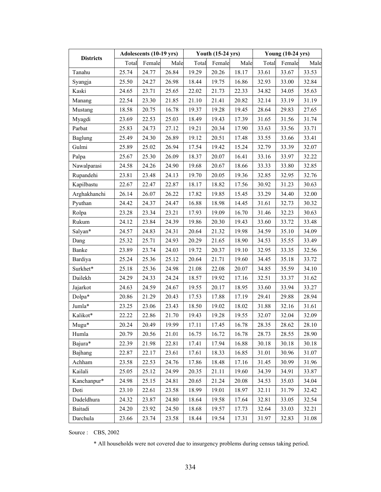|                  |       | Adolescents (10-19 yrs) |       |       | <b>Youth (15-24 yrs)</b> |       |       | <b>Young (10-24 yrs)</b> |       |
|------------------|-------|-------------------------|-------|-------|--------------------------|-------|-------|--------------------------|-------|
| <b>Districts</b> | Total | Female                  | Male  | Total | Female                   | Male  | Total | Female                   | Male  |
| Tanahu           | 25.74 | 24.77                   | 26.84 | 19.29 | 20.26                    | 18.17 | 33.61 | 33.67                    | 33.53 |
| Syangja          | 25.50 | 24.27                   | 26.98 | 18.44 | 19.75                    | 16.86 | 32.93 | 33.00                    | 32.84 |
| Kaski            | 24.65 | 23.71                   | 25.65 | 22.02 | 21.73                    | 22.33 | 34.82 | 34.05                    | 35.63 |
| Manang           | 22.54 | 23.30                   | 21.85 | 21.10 | 21.41                    | 20.82 | 32.14 | 33.19                    | 31.19 |
| Mustang          | 18.58 | 20.75                   | 16.78 | 19.37 | 19.28                    | 19.45 | 28.64 | 29.83                    | 27.65 |
| Myagdi           | 23.69 | 22.53                   | 25.03 | 18.49 | 19.43                    | 17.39 | 31.65 | 31.56                    | 31.74 |
| Parbat           | 25.83 | 24.73                   | 27.12 | 19.21 | 20.34                    | 17.90 | 33.63 | 33.56                    | 33.71 |
| Baglung          | 25.49 | 24.30                   | 26.89 | 19.12 | 20.51                    | 17.48 | 33.55 | 33.66                    | 33.41 |
| Gulmi            | 25.89 | 25.02                   | 26.94 | 17.54 | 19.42                    | 15.24 | 32.79 | 33.39                    | 32.07 |
| Palpa            | 25.67 | 25.30                   | 26.09 | 18.37 | 20.07                    | 16.41 | 33.16 | 33.97                    | 32.22 |
| Nawalparasi      | 24.58 | 24.26                   | 24.90 | 19.68 | 20.67                    | 18.66 | 33.33 | 33.80                    | 32.85 |
| Rupandehi        | 23.81 | 23.48                   | 24.13 | 19.70 | 20.05                    | 19.36 | 32.85 | 32.95                    | 32.76 |
| Kapilbastu       | 22.67 | 22.47                   | 22.87 | 18.17 | 18.82                    | 17.56 | 30.92 | 31.23                    | 30.63 |
| Arghakhanchi     | 26.14 | 26.07                   | 26.22 | 17.82 | 19.85                    | 15.45 | 33.29 | 34.40                    | 32.00 |
| Pyuthan          | 24.42 | 24.37                   | 24.47 | 16.88 | 18.98                    | 14.45 | 31.61 | 32.73                    | 30.32 |
| Rolpa            | 23.28 | 23.34                   | 23.21 | 17.93 | 19.09                    | 16.70 | 31.46 | 32.23                    | 30.63 |
| Rukum            | 24.12 | 23.84                   | 24.39 | 19.86 | 20.30                    | 19.43 | 33.60 | 33.72                    | 33.48 |
| Salyan*          | 24.57 | 24.83                   | 24.31 | 20.64 | 21.32                    | 19.98 | 34.59 | 35.10                    | 34.09 |
| Dang             | 25.32 | 25.71                   | 24.93 | 20.29 | 21.65                    | 18.90 | 34.53 | 35.55                    | 33.49 |
| Banke            | 23.89 | 23.74                   | 24.03 | 19.72 | 20.37                    | 19.10 | 32.95 | 33.35                    | 32.56 |
| Bardiya          | 25.24 | 25.36                   | 25.12 | 20.64 | 21.71                    | 19.60 | 34.45 | 35.18                    | 33.72 |
| Surkhet*         | 25.18 | 25.36                   | 24.98 | 21.08 | 22.08                    | 20.07 | 34.85 | 35.59                    | 34.10 |
| Dailekh          | 24.29 | 24.33                   | 24.24 | 18.57 | 19.92                    | 17.16 | 32.51 | 33.37                    | 31.62 |
| Jajarkot         | 24.63 | 24.59                   | 24.67 | 19.55 | 20.17                    | 18.95 | 33.60 | 33.94                    | 33.27 |
| Dolpa*           | 20.86 | 21.29                   | 20.43 | 17.53 | 17.88                    | 17.19 | 29.41 | 29.88                    | 28.94 |
| Jumla*           | 23.25 | 23.06                   | 23.43 | 18.50 | 19.02                    | 18.02 | 31.88 | 32.16                    | 31.61 |
| Kalikot*         | 22.22 | 22.86                   | 21.70 | 19.43 | 19.28                    | 19.55 | 32.07 | 32.04                    | 32.09 |
| $Mugu*$          | 20.24 | 20.49                   | 19.99 | 17.11 | 17.45                    | 16.78 | 28.35 | 28.62                    | 28.10 |
| Humla            | 20.79 | 20.56                   | 21.01 | 16.75 | 16.72                    | 16.78 | 28.73 | 28.55                    | 28.90 |
| Bajura*          | 22.39 | 21.98                   | 22.81 | 17.41 | 17.94                    | 16.88 | 30.18 | 30.18                    | 30.18 |
| Bajhang          | 22.87 | 22.17                   | 23.61 | 17.61 | 18.33                    | 16.85 | 31.01 | 30.96                    | 31.07 |
| Achham           | 23.58 | 22.53                   | 24.76 | 17.86 | 18.48                    | 17.16 | 31.45 | 30.99                    | 31.96 |
| Kailali          | 25.05 | 25.12                   | 24.99 | 20.35 | 21.11                    | 19.60 | 34.39 | 34.91                    | 33.87 |
| Kanchanpur*      | 24.98 | 25.15                   | 24.81 | 20.65 | 21.24                    | 20.08 | 34.53 | 35.03                    | 34.04 |
| Doti             | 23.10 | 22.61                   | 23.58 | 18.99 | 19.01                    | 18.97 | 32.11 | 31.79                    | 32.42 |
| Dadeldhura       | 24.32 | 23.87                   | 24.80 | 18.64 | 19.58                    | 17.64 | 32.81 | 33.05                    | 32.54 |
| Baitadi          | 24.20 | 23.92                   | 24.50 | 18.68 | 19.57                    | 17.73 | 32.64 | 33.03                    | 32.21 |
| Darchula         | 23.66 | 23.74                   | 23.58 | 18.44 | 19.54                    | 17.31 | 31.97 | 32.83                    | 31.08 |

Source : CBS, 2002

\* All households were not covered due to insurgency problems during census taking period.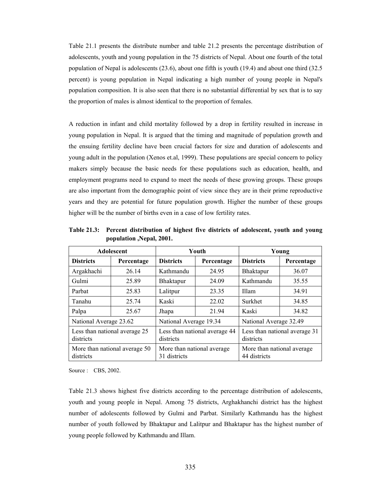Table 21.1 presents the distribute number and table 21.2 presents the percentage distribution of adolescents, youth and young population in the 75 districts of Nepal. About one fourth of the total population of Nepal is adolescents (23.6), about one fifth is youth (19.4) and about one third (32.5 percent) is young population in Nepal indicating a high number of young people in Nepal's population composition. It is also seen that there is no substantial differential by sex that is to say the proportion of males is almost identical to the proportion of females.

A reduction in infant and child mortality followed by a drop in fertility resulted in increase in young population in Nepal. It is argued that the timing and magnitude of population growth and the ensuing fertility decline have been crucial factors for size and duration of adolescents and young adult in the population (Xenos et.al, 1999). These populations are special concern to policy makers simply because the basic needs for these populations such as education, health, and employment programs need to expand to meet the needs of these growing groups. These groups are also important from the demographic point of view since they are in their prime reproductive years and they are potential for future population growth. Higher the number of these groups higher will be the number of births even in a case of low fertility rates.

|                                            | <b>Adolescent</b>             |                                             | Youth                         | Young                                       |            |  |  |
|--------------------------------------------|-------------------------------|---------------------------------------------|-------------------------------|---------------------------------------------|------------|--|--|
| <b>Districts</b>                           | Percentage                    | <b>Districts</b>                            | Percentage                    | <b>Districts</b>                            | Percentage |  |  |
| Argakhachi                                 | 26.14                         | Kathmandu                                   | 24.95                         | Bhaktapur                                   | 36.07      |  |  |
| Gulmi                                      | 25.89                         | <b>Bhaktapur</b>                            | 24.09                         | Kathmandu                                   | 35.55      |  |  |
| Parbat                                     | 25.83                         | Lalitpur                                    | 23.35                         | Illam                                       | 34.91      |  |  |
| Tanahu                                     | 25.74                         | Kaski                                       | 22.02                         | Surkhet                                     | 34.85      |  |  |
| Palpa                                      | 25.67                         | Jhapa                                       | 21.94                         | Kaski                                       | 34.82      |  |  |
| National Average 23.62                     |                               | National Average 19.34                      |                               | National Average 32.49                      |            |  |  |
| Less than national average 25<br>districts |                               | districts                                   | Less than national average 44 | Less than national average 31<br>districts  |            |  |  |
| districts                                  | More than national average 50 | More than national average.<br>31 districts |                               | More than national average.<br>44 districts |            |  |  |

**Table 21.3: Percent distribution of highest five districts of adolescent, youth and young population ,Nepal, 2001.** 

Source : CBS, 2002.

Table 21.3 shows highest five districts according to the percentage distribution of adolescents, youth and young people in Nepal. Among 75 districts, Arghakhanchi district has the highest number of adolescents followed by Gulmi and Parbat. Similarly Kathmandu has the highest number of youth followed by Bhaktapur and Lalitpur and Bhaktapur has the highest number of young people followed by Kathmandu and Illam.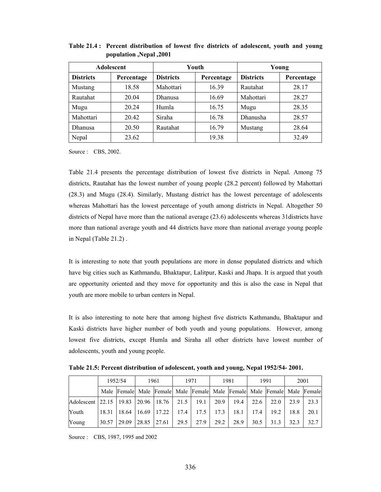|                  | <b>Adolescent</b> |                  | Youth      |                  | Young      |
|------------------|-------------------|------------------|------------|------------------|------------|
| <b>Districts</b> | Percentage        | <b>Districts</b> | Percentage | <b>Districts</b> | Percentage |
| Mustang          | 18.58             | Mahottari        | 16.39      | Rautahat         | 28.17      |
| Rautahat         | 20.04             | <b>Dhanusa</b>   | 16.69      | Mahottari        | 28.27      |
| Mugu             | 20.24             | Humla            | 16.75      | Mugu             | 28.35      |
| Mahottari        | 20.42             | Siraha           | 16.78      | Dhanusha         | 28.57      |
| Dhanusa          | 20.50             | Rautahat         | 16.79      | Mustang          | 28.64      |
| Nepal            | 23.62             |                  | 19.38      |                  | 32.49      |

**Table 21.4 : Percent distribution of lowest five districts of adolescent, youth and young population ,Nepal ,2001** 

Source : CBS, 2002.

Table 21.4 presents the percentage distribution of lowest five districts in Nepal. Among 75 districts, Rautahat has the lowest number of young people (28.2 percent) followed by Mahottari (28.3) and Mugu (28.4). Similarly, Mustang district has the lowest percentage of adolescents whereas Mahottari has the lowest percentage of youth among districts in Nepal. Altogether 50 districts of Nepal have more than the national average (23.6) adolescents whereas 31districts have more than national average youth and 44 districts have more than national average young people in Nepal (Table 21.2) .

It is interesting to note that youth populations are more in dense populated districts and which have big cities such as Kathmandu, Bhaktapur, Lalitpur, Kaski and Jhapa. It is argued that youth are opportunity oriented and they move for opportunity and this is also the case in Nepal that youth are more mobile to urban centers in Nepal.

It is also interesting to note here that among highest five districts Kathmandu, Bhaktapur and Kaski districts have higher number of both youth and young populations. However, among lowest five districts, except Humla and Siraha all other districts have lowest number of adolescents, youth and young people.

**Table 21.5: Percent distribution of adolescent, youth and young, Nepal 1952/54- 2001.** 

|                          | 1952/54 |       | 1961  |                 | 1971 |      | 1981 |      | 1991 |                                                                         | 2001 |      |
|--------------------------|---------|-------|-------|-----------------|------|------|------|------|------|-------------------------------------------------------------------------|------|------|
|                          |         |       |       |                 |      |      |      |      |      | Male Female Male Female Male Female Male Female Male Female Male Female |      |      |
| Adolescent 22.15   19.83 |         |       |       | $20.96$   18.76 | 21.5 | 19.1 | 20.9 | 19.4 | 22.6 | 22.0                                                                    | 23.9 | 23.3 |
| Youth                    | 18.31   | 18.64 | 16.69 | 17.22           | 17.4 | 17.5 | 17.3 | 18.1 | 17.4 | 19.2                                                                    | 18.8 | 20.1 |
| Young                    | 30.57   | 29.09 | 28.85 | 27.61           | 29.5 | 27.9 | 29.2 | 28.9 | 30.5 | 31.3                                                                    | 32.3 | 32.7 |

Source : CBS, 1987, 1995 and 2002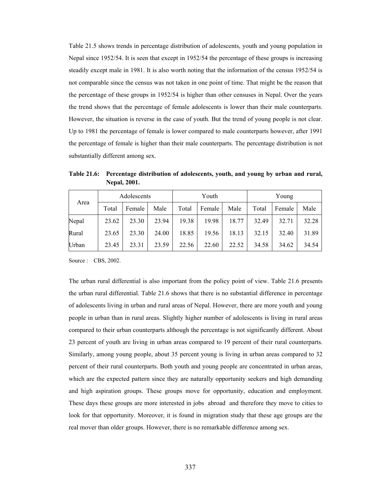Table 21.5 shows trends in percentage distribution of adolescents, youth and young population in Nepal since 1952/54. It is seen that except in 1952/54 the percentage of these groups is increasing steadily except male in 1981. It is also worth noting that the information of the census 1952/54 is not comparable since the census was not taken in one point of time. That might be the reason that the percentage of these groups in 1952/54 is higher than other censuses in Nepal. Over the years the trend shows that the percentage of female adolescents is lower than their male counterparts. However, the situation is reverse in the case of youth. But the trend of young people is not clear. Up to 1981 the percentage of female is lower compared to male counterparts however, after 1991 the percentage of female is higher than their male counterparts. The percentage distribution is not substantially different among sex.

**Table 21.6: Percentage distribution of adolescents, youth, and young by urban and rural, Nepal, 2001.** 

| Area  |       | Adolescents |       |       | Youth  |       | Young |        |       |  |
|-------|-------|-------------|-------|-------|--------|-------|-------|--------|-------|--|
|       | Total | Female      | Male  | Total | Female | Male  | Total | Female | Male  |  |
| Nepal | 23.62 | 23.30       | 23.94 | 19.38 | 19.98  | 18.77 | 32.49 | 32.71  | 32.28 |  |
| Rural | 23.65 | 23.30       | 24.00 | 18.85 | 19.56  | 18.13 | 32.15 | 32.40  | 31.89 |  |
| Urban | 23.45 | 23.31       | 23.59 | 22.56 | 22.60  | 22.52 | 34.58 | 34.62  | 34.54 |  |

Source : CBS, 2002.

The urban rural differential is also important from the policy point of view. Table 21.6 presents the urban rural differential. Table 21.6 shows that there is no substantial difference in percentage of adolescents living in urban and rural areas of Nepal. However, there are more youth and young people in urban than in rural areas. Slightly higher number of adolescents is living in rural areas compared to their urban counterparts although the percentage is not significantly different. About 23 percent of youth are living in urban areas compared to 19 percent of their rural counterparts. Similarly, among young people, about 35 percent young is living in urban areas compared to 32 percent of their rural counterparts. Both youth and young people are concentrated in urban areas, which are the expected pattern since they are naturally opportunity seekers and high demanding and high aspiration groups. These groups move for opportunity, education and employment. These days these groups are more interested in jobs abroad and therefore they move to cities to look for that opportunity. Moreover, it is found in migration study that these age groups are the real mover than older groups. However, there is no remarkable difference among sex.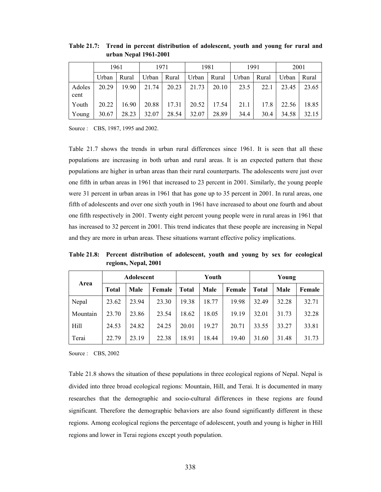|                | 1961  |       | 1971          |       |       | 1981                          |      | 1991 | 2001  |       |  |
|----------------|-------|-------|---------------|-------|-------|-------------------------------|------|------|-------|-------|--|
|                | Urban | Rural | Urban   Rural |       |       | Urban   Rural   Urban   Rural |      |      | Urban | Rural |  |
| Adoles<br>cent | 20.29 | 19.90 | 21.74         | 20.23 | 21.73 | 20.10                         | 23.5 | 22.1 | 23.45 | 23.65 |  |
| Youth          | 20.22 | 16.90 | 20.88         | 17.31 | 20.52 | 17.54                         | 21.1 | 17.8 | 22.56 | 18.85 |  |
| Young          | 30.67 | 28.23 | 32.07         | 28.54 | 32.07 | 28.89                         | 34.4 | 30.4 | 34.58 | 32.15 |  |

**Table 21.7: Trend in percent distribution of adolescent, youth and young for rural and urban Nepal 1961-2001** 

Source : CBS, 1987, 1995 and 2002.

Table 21.7 shows the trends in urban rural differences since 1961. It is seen that all these populations are increasing in both urban and rural areas. It is an expected pattern that these populations are higher in urban areas than their rural counterparts. The adolescents were just over one fifth in urban areas in 1961 that increased to 23 percent in 2001. Similarly, the young people were 31 percent in urban areas in 1961 that has gone up to 35 percent in 2001. In rural areas, one fifth of adolescents and over one sixth youth in 1961 have increased to about one fourth and about one fifth respectively in 2001. Twenty eight percent young people were in rural areas in 1961 that has increased to 32 percent in 2001. This trend indicates that these people are increasing in Nepal and they are more in urban areas. These situations warrant effective policy implications.

**Table 21.8: Percent distribution of adolescent, youth and young by sex for ecological regions, Nepal, 2001** 

|             | Adolescent   |       |        | Youth        |       |        | Young        |       |        |
|-------------|--------------|-------|--------|--------------|-------|--------|--------------|-------|--------|
| Area        | <b>Total</b> | Male  | Female | <b>Total</b> | Male  | Female | <b>Total</b> | Male  | Female |
| Nepal       | 23.62        | 23.94 | 23.30  | 19.38        | 18.77 | 19.98  | 32.49        | 32.28 | 32.71  |
| Mountain    | 23.70        | 23.86 | 23.54  | 18.62        | 18.05 | 19.19  | 32.01        | 31.73 | 32.28  |
| <b>Hill</b> | 24.53        | 24.82 | 24.25  | 20.01        | 19.27 | 20.71  | 33.55        | 33.27 | 33.81  |
| Terai       | 22.79        | 23.19 | 22.38  | 18.91        | 18.44 | 19.40  | 31.60        | 31.48 | 31.73  |

Source : CBS, 2002

Table 21.8 shows the situation of these populations in three ecological regions of Nepal. Nepal is divided into three broad ecological regions: Mountain, Hill, and Terai. It is documented in many researches that the demographic and socio-cultural differences in these regions are found significant. Therefore the demographic behaviors are also found significantly different in these regions. Among ecological regions the percentage of adolescent, youth and young is higher in Hill regions and lower in Terai regions except youth population.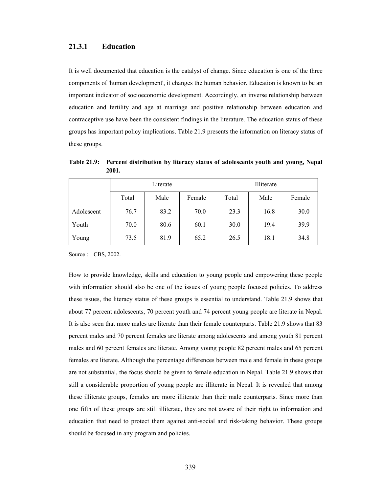### **21.3.1 Education**

It is well documented that education is the catalyst of change. Since education is one of the three components of 'human development', it changes the human behavior. Education is known to be an important indicator of socioeconomic development. Accordingly, an inverse relationship between education and fertility and age at marriage and positive relationship between education and contraceptive use have been the consistent findings in the literature. The education status of these groups has important policy implications. Table 21.9 presents the information on literacy status of these groups.

|            | Literate |      |        | Illiterate |      |        |  |
|------------|----------|------|--------|------------|------|--------|--|
|            | Total    | Male | Female | Total      | Male | Female |  |
| Adolescent | 76.7     | 83.2 | 70.0   | 23.3       | 16.8 | 30.0   |  |
| Youth      | 70.0     | 80.6 | 60.1   | 30.0       | 19.4 | 39.9   |  |
| Young      | 73.5     | 81.9 | 65.2   | 26.5       | 18.1 | 34.8   |  |

**Table 21.9: Percent distribution by literacy status of adolescents youth and young, Nepal 2001.** 

Source : CBS, 2002.

How to provide knowledge, skills and education to young people and empowering these people with information should also be one of the issues of young people focused policies. To address these issues, the literacy status of these groups is essential to understand. Table 21.9 shows that about 77 percent adolescents, 70 percent youth and 74 percent young people are literate in Nepal. It is also seen that more males are literate than their female counterparts. Table 21.9 shows that 83 percent males and 70 percent females are literate among adolescents and among youth 81 percent males and 60 percent females are literate. Among young people 82 percent males and 65 percent females are literate. Although the percentage differences between male and female in these groups are not substantial, the focus should be given to female education in Nepal. Table 21.9 shows that still a considerable proportion of young people are illiterate in Nepal. It is revealed that among these illiterate groups, females are more illiterate than their male counterparts. Since more than one fifth of these groups are still illiterate, they are not aware of their right to information and education that need to protect them against anti-social and risk-taking behavior. These groups should be focused in any program and policies.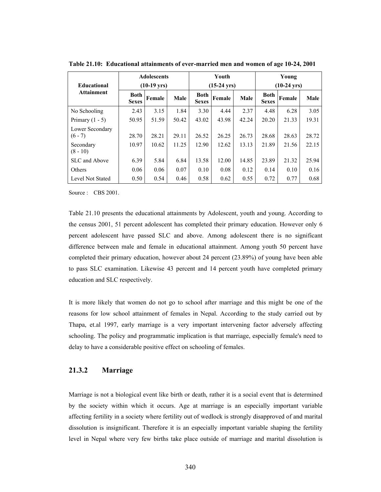|                              |                             | <b>Adolescents</b> |       |                             | Youth  |       |                             | Young  |       |
|------------------------------|-----------------------------|--------------------|-------|-----------------------------|--------|-------|-----------------------------|--------|-------|
| <b>Educational</b>           | $(10-19 \text{ yrs})$       |                    |       | $(15-24 \text{ yrs})$       |        |       | $(10-24 \text{ yrs})$       |        |       |
| <b>Attainment</b>            | <b>Both</b><br><b>Sexes</b> | Female             | Male  | <b>Both</b><br><b>Sexes</b> | Female | Male  | <b>Both</b><br><b>Sexes</b> | Female | Male  |
| No Schooling                 | 2.43                        | 3.15               | 1.84  | 3.30                        | 4.44   | 2.37  | 4.48                        | 6.28   | 3.05  |
| Primary $(1 - 5)$            | 50.95                       | 51.59              | 50.42 | 43.02                       | 43.98  | 42.24 | 20.20                       | 21.33  | 19.31 |
| Lower Secondary<br>$(6 - 7)$ | 28.70                       | 28.21              | 29.11 | 26.52                       | 26.25  | 26.73 | 28.68                       | 28.63  | 28.72 |
| Secondary<br>$(8 - 10)$      | 10.97                       | 10.62              | 11.25 | 12.90                       | 12.62  | 13.13 | 21.89                       | 21.56  | 22.15 |
| SLC and Above                | 6.39                        | 5.84               | 6.84  | 13.58                       | 12.00  | 14.85 | 23.89                       | 21.32  | 25.94 |
| Others                       | 0.06                        | 0.06               | 0.07  | 0.10                        | 0.08   | 0.12  | 0.14                        | 0.10   | 0.16  |
| Level Not Stated             | 0.50                        | 0.54               | 0.46  | 0.58                        | 0.62   | 0.55  | 0.72                        | 0.77   | 0.68  |

**Table 21.10: Educational attainments of ever-married men and women of age 10-24, 2001** 

Source : CBS 2001.

Table 21.10 presents the educational attainments by Adolescent, youth and young. According to the census 2001, 51 percent adolescent has completed their primary education. However only 6 percent adolescent have passed SLC and above. Among adolescent there is no significant difference between male and female in educational attainment. Among youth 50 percent have completed their primary education, however about 24 percent (23.89%) of young have been able to pass SLC examination. Likewise 43 percent and 14 percent youth have completed primary education and SLC respectively.

It is more likely that women do not go to school after marriage and this might be one of the reasons for low school attainment of females in Nepal. According to the study carried out by Thapa, et.al 1997, early marriage is a very important intervening factor adversely affecting schooling. The policy and programmatic implication is that marriage, especially female's need to delay to have a considerable positive effect on schooling of females.

## **21.3.2 Marriage**

Marriage is not a biological event like birth or death, rather it is a social event that is determined by the society within which it occurs. Age at marriage is an especially important variable affecting fertility in a society where fertility out of wedlock is strongly disapproved of and marital dissolution is insignificant. Therefore it is an especially important variable shaping the fertility level in Nepal where very few births take place outside of marriage and marital dissolution is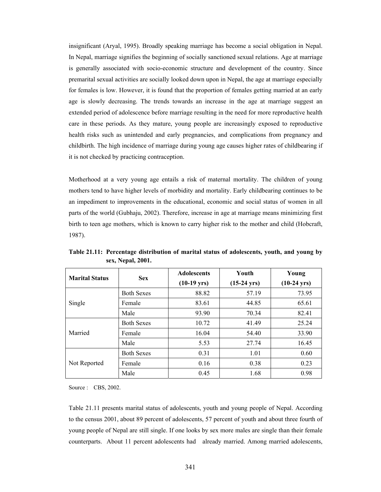insignificant (Aryal, 1995). Broadly speaking marriage has become a social obligation in Nepal. In Nepal, marriage signifies the beginning of socially sanctioned sexual relations. Age at marriage is generally associated with socio-economic structure and development of the country. Since premarital sexual activities are socially looked down upon in Nepal, the age at marriage especially for females is low. However, it is found that the proportion of females getting married at an early age is slowly decreasing. The trends towards an increase in the age at marriage suggest an extended period of adolescence before marriage resulting in the need for more reproductive health care in these periods. As they mature, young people are increasingly exposed to reproductive health risks such as unintended and early pregnancies, and complications from pregnancy and childbirth. The high incidence of marriage during young age causes higher rates of childbearing if it is not checked by practicing contraception.

Motherhood at a very young age entails a risk of maternal mortality. The children of young mothers tend to have higher levels of morbidity and mortality. Early childbearing continues to be an impediment to improvements in the educational, economic and social status of women in all parts of the world (Gubhaju, 2002). Therefore, increase in age at marriage means minimizing first birth to teen age mothers, which is known to carry higher risk to the mother and child (Hobcraft, 1987).

| <b>Marital Status</b> | <b>Sex</b>        | <b>Adolescents</b><br>$(10-19 \text{ yrs})$ | Youth<br>$(15-24 \text{ yrs})$ | Young<br>$(10-24 \text{ yrs})$ |
|-----------------------|-------------------|---------------------------------------------|--------------------------------|--------------------------------|
|                       | <b>Both Sexes</b> | 88.82                                       | 57.19                          | 73.95                          |
| Single                | Female            | 83.61                                       | 44.85                          | 65.61                          |
|                       | Male              | 93.90                                       | 70.34                          | 82.41                          |
|                       | <b>Both Sexes</b> | 10.72                                       | 41.49                          | 25.24                          |
| Married               | Female            | 16.04                                       | 54.40                          | 33.90                          |
|                       | Male              | 5.53                                        | 27.74                          | 16.45                          |
| Not Reported          | <b>Both Sexes</b> | 0.31                                        | 1.01                           | 0.60                           |
|                       | Female            | 0.16                                        | 0.38                           | 0.23                           |
|                       | Male              | 0.45                                        | 1.68                           | 0.98                           |

**Table 21.11: Percentage distribution of marital status of adolescents, youth, and young by sex, Nepal, 2001.** 

Source : CBS, 2002.

Table 21.11 presents marital status of adolescents, youth and young people of Nepal. According to the census 2001, about 89 percent of adolescents, 57 percent of youth and about three fourth of young people of Nepal are still single. If one looks by sex more males are single than their female counterparts. About 11 percent adolescents had already married. Among married adolescents,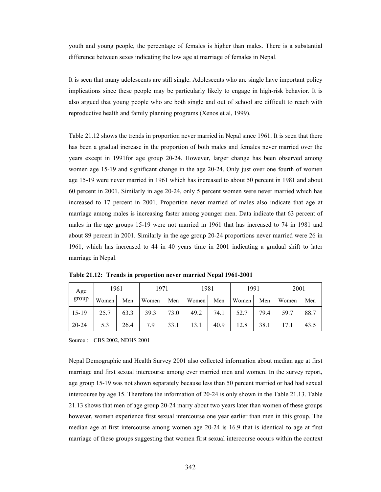youth and young people, the percentage of females is higher than males. There is a substantial difference between sexes indicating the low age at marriage of females in Nepal.

It is seen that many adolescents are still single. Adolescents who are single have important policy implications since these people may be particularly likely to engage in high-risk behavior. It is also argued that young people who are both single and out of school are difficult to reach with reproductive health and family planning programs (Xenos et al, 1999).

Table 21.12 shows the trends in proportion never married in Nepal since 1961. It is seen that there has been a gradual increase in the proportion of both males and females never married over the years except in 1991for age group 20-24. However, larger change has been observed among women age 15-19 and significant change in the age 20-24. Only just over one fourth of women age 15-19 were never married in 1961 which has increased to about 50 percent in 1981 and about 60 percent in 2001. Similarly in age 20-24, only 5 percent women were never married which has increased to 17 percent in 2001. Proportion never married of males also indicate that age at marriage among males is increasing faster among younger men. Data indicate that 63 percent of males in the age groups 15-19 were not married in 1961 that has increased to 74 in 1981 and about 89 percent in 2001. Similarly in the age group 20-24 proportions never married were 26 in 1961, which has increased to 44 in 40 years time in 2001 indicating a gradual shift to later marriage in Nepal.

| Age     | 1961  |      | 1971  |      | 1981  |      | 1991  |      | 2001  |      |
|---------|-------|------|-------|------|-------|------|-------|------|-------|------|
| group   | Women | Men  | Women | Men  | Women | Men  | Women | Men  | Women | Men  |
| $15-19$ | 25.7  | 63.3 | 39.3  | 73.0 | 49.2  | 74.1 | 52.7  | 79.4 | 59.7  | 88.7 |
| 20-24   | 5.3   | 26.4 | 7.9   | 33.1 | 13.1  | 40.9 | 12.8  | 38.1 |       | 43.5 |

**Table 21.12: Trends in proportion never married Nepal 1961-2001** 

Source : CBS 2002, NDHS 2001

Nepal Demographic and Health Survey 2001 also collected information about median age at first marriage and first sexual intercourse among ever married men and women. In the survey report, age group 15-19 was not shown separately because less than 50 percent married or had had sexual intercourse by age 15. Therefore the information of 20-24 is only shown in the Table 21.13. Table 21.13 shows that men of age group 20-24 marry about two years later than women of these groups however, women experience first sexual intercourse one year earlier than men in this group. The median age at first intercourse among women age 20-24 is 16.9 that is identical to age at first marriage of these groups suggesting that women first sexual intercourse occurs within the context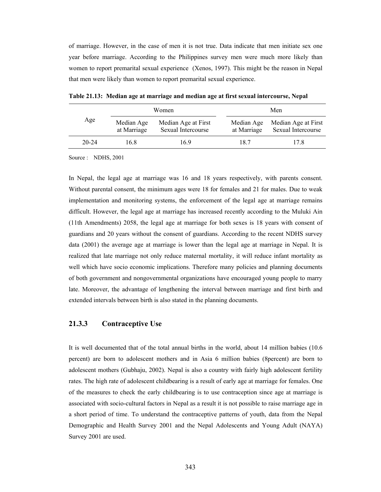of marriage. However, in the case of men it is not true. Data indicate that men initiate sex one year before marriage. According to the Philippines survey men were much more likely than women to report premarital sexual experience (Xenos, 1997). This might be the reason in Nepal that men were likely than women to report premarital sexual experience.

|           |                           | Women                                     | Men                       |                                           |  |
|-----------|---------------------------|-------------------------------------------|---------------------------|-------------------------------------------|--|
| Age       | Median Age<br>at Marriage | Median Age at First<br>Sexual Intercourse | Median Age<br>at Marriage | Median Age at First<br>Sexual Intercourse |  |
| $20 - 24$ | 16 8                      | 169                                       | 18.7                      | 17.8                                      |  |

**Table 21.13: Median age at marriage and median age at first sexual intercourse, Nepal** 

Source : NDHS, 2001

In Nepal, the legal age at marriage was 16 and 18 years respectively, with parents consent. Without parental consent, the minimum ages were 18 for females and 21 for males. Due to weak implementation and monitoring systems, the enforcement of the legal age at marriage remains difficult. However, the legal age at marriage has increased recently according to the Muluki Ain (11th Amendments) 2058, the legal age at marriage for both sexes is 18 years with consent of guardians and 20 years without the consent of guardians. According to the recent NDHS survey data (2001) the average age at marriage is lower than the legal age at marriage in Nepal. It is realized that late marriage not only reduce maternal mortality, it will reduce infant mortality as well which have socio economic implications. Therefore many policies and planning documents of both government and nongovernmental organizations have encouraged young people to marry late. Moreover, the advantage of lengthening the interval between marriage and first birth and extended intervals between birth is also stated in the planning documents.

## **21.3.3 Contraceptive Use**

It is well documented that of the total annual births in the world, about 14 million babies (10.6 percent) are born to adolescent mothers and in Asia 6 million babies (8percent) are born to adolescent mothers (Gubhaju, 2002). Nepal is also a country with fairly high adolescent fertility rates. The high rate of adolescent childbearing is a result of early age at marriage for females. One of the measures to check the early childbearing is to use contraception since age at marriage is associated with socio-cultural factors in Nepal as a result it is not possible to raise marriage age in a short period of time. To understand the contraceptive patterns of youth, data from the Nepal Demographic and Health Survey 2001 and the Nepal Adolescents and Young Adult (NAYA) Survey 2001 are used.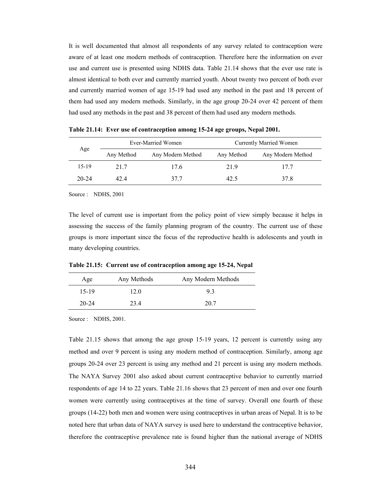It is well documented that almost all respondents of any survey related to contraception were aware of at least one modern methods of contraception. Therefore here the information on ever use and current use is presented using NDHS data. Table 21.14 shows that the ever use rate is almost identical to both ever and currently married youth. About twenty two percent of both ever and currently married women of age 15-19 had used any method in the past and 18 percent of them had used any modern methods. Similarly, in the age group 20-24 over 42 percent of them had used any methods in the past and 38 percent of them had used any modern methods.

|           |            | Ever-Married Women | <b>Currently Married Women</b> |                   |  |
|-----------|------------|--------------------|--------------------------------|-------------------|--|
| Age       | Any Method | Any Modern Method  | Any Method                     | Any Modern Method |  |
| 15-19     | 217        | 17.6               | 21.9                           | 177               |  |
| $20 - 24$ | 4244       | 377                | 42.5                           | 37.8              |  |

**Table 21.14: Ever use of contraception among 15-24 age groups, Nepal 2001.** 

Source : NDHS, 2001

The level of current use is important from the policy point of view simply because it helps in assessing the success of the family planning program of the country. The current use of these groups is more important since the focus of the reproductive health is adolescents and youth in many developing countries.

**Table 21.15: Current use of contraception among age 15-24, Nepal** 

| Age       | Any Methods | Any Modern Methods |
|-----------|-------------|--------------------|
| $15-19$   | 12.0        | 93                 |
| $20 - 24$ | 23.4        | 20.7               |

Source : NDHS, 2001.

Table 21.15 shows that among the age group 15-19 years, 12 percent is currently using any method and over 9 percent is using any modern method of contraception. Similarly, among age groups 20-24 over 23 percent is using any method and 21 percent is using any modern methods. The NAYA Survey 2001 also asked about current contraceptive behavior to currently married respondents of age 14 to 22 years. Table 21.16 shows that 23 percent of men and over one fourth women were currently using contraceptives at the time of survey. Overall one fourth of these groups (14-22) both men and women were using contraceptives in urban areas of Nepal. It is to be noted here that urban data of NAYA survey is used here to understand the contraceptive behavior, therefore the contraceptive prevalence rate is found higher than the national average of NDHS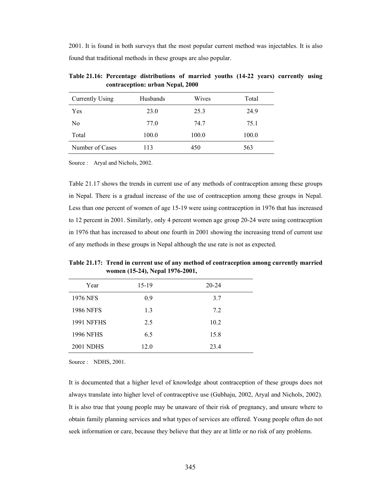2001. It is found in both surveys that the most popular current method was injectables. It is also found that traditional methods in these groups are also popular.

| Currently Using | Husbands | Wives | Total |
|-----------------|----------|-------|-------|
| Yes             | 23.0     | 25.3  | 24.9  |
| No              | 77.0     | 74.7  | 75.1  |
| Total           | 100.0    | 100.0 | 100.0 |
| Number of Cases | 113      | 450   | 563   |

**Table 21.16: Percentage distributions of married youths (14-22 years) currently using contraception: urban Nepal, 2000** 

Source : Aryal and Nichols, 2002.

Table 21.17 shows the trends in current use of any methods of contraception among these groups in Nepal. There is a gradual increase of the use of contraception among these groups in Nepal. Less than one percent of women of age 15-19 were using contraception in 1976 that has increased to 12 percent in 2001. Similarly, only 4 percent women age group 20-24 were using contraception in 1976 that has increased to about one fourth in 2001 showing the increasing trend of current use of any methods in these groups in Nepal although the use rate is not as expected.

**Table 21.17: Trend in current use of any method of contraception among currently married women (15-24), Nepal 1976-2001,** 

| Year              | 15-19 | $20 - 24$ |  |
|-------------------|-------|-----------|--|
| 1976 NFS          | 0.9   | 3.7       |  |
| <b>1986 NFFS</b>  | 1.3   | 7.2       |  |
| <b>1991 NFFHS</b> | 2.5   | 10.2      |  |
| <b>1996 NFHS</b>  | 6.5   | 15.8      |  |
| <b>2001 NDHS</b>  | 12.0  | 23.4      |  |

Source : NDHS, 2001.

It is documented that a higher level of knowledge about contraception of these groups does not always translate into higher level of contraceptive use (Gubhaju, 2002, Aryal and Nichols, 2002). It is also true that young people may be unaware of their risk of pregnancy, and unsure where to obtain family planning services and what types of services are offered. Young people often do not seek information or care, because they believe that they are at little or no risk of any problems.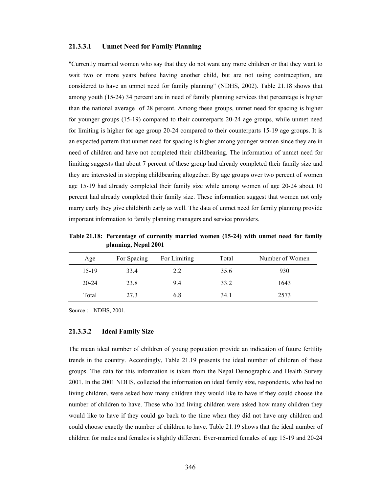#### **21.3.3.1 Unmet Need for Family Planning**

"Currently married women who say that they do not want any more children or that they want to wait two or more years before having another child, but are not using contraception, are considered to have an unmet need for family planning" (NDHS, 2002). Table 21.18 shows that among youth (15-24) 34 percent are in need of family planning services that percentage is higher than the national average of 28 percent. Among these groups, unmet need for spacing is higher for younger groups (15-19) compared to their counterparts 20-24 age groups, while unmet need for limiting is higher for age group 20-24 compared to their counterparts 15-19 age groups. It is an expected pattern that unmet need for spacing is higher among younger women since they are in need of children and have not completed their childbearing. The information of unmet need for limiting suggests that about 7 percent of these group had already completed their family size and they are interested in stopping childbearing altogether. By age groups over two percent of women age 15-19 had already completed their family size while among women of age 20-24 about 10 percent had already completed their family size. These information suggest that women not only marry early they give childbirth early as well. The data of unmet need for family planning provide important information to family planning managers and service providers.

**Table 21.18: Percentage of currently married women (15-24) with unmet need for family planning, Nepal 2001** 

| Age       | For Spacing | For Limiting | Total | Number of Women |
|-----------|-------------|--------------|-------|-----------------|
| $15-19$   | 33.4        | 2.2          | 35.6  | 930             |
| $20 - 24$ | 23.8        | 9.4          | 33.2  | 1643            |
| Total     | 27.3        | 6.8          | 34.1  | 2573            |

Source : NDHS, 2001.

#### **21.3.3.2 Ideal Family Size**

The mean ideal number of children of young population provide an indication of future fertility trends in the country. Accordingly, Table 21.19 presents the ideal number of children of these groups. The data for this information is taken from the Nepal Demographic and Health Survey 2001. In the 2001 NDHS, collected the information on ideal family size, respondents, who had no living children, were asked how many children they would like to have if they could choose the number of children to have. Those who had living children were asked how many children they would like to have if they could go back to the time when they did not have any children and could choose exactly the number of children to have. Table 21.19 shows that the ideal number of children for males and females is slightly different. Ever-married females of age 15-19 and 20-24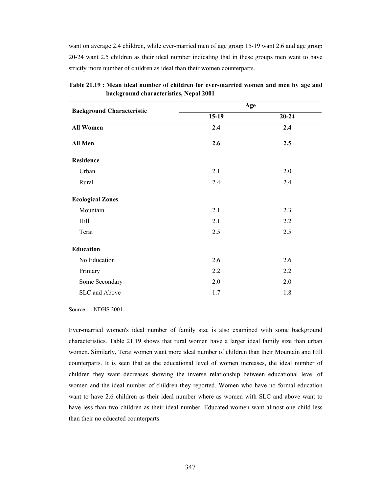want on average 2.4 children, while ever-married men of age group 15-19 want 2.6 and age group 20-24 want 2.5 children as their ideal number indicating that in these groups men want to have strictly more number of children as ideal than their women counterparts.

| <b>Background Characteristic</b> | Age     |           |  |  |
|----------------------------------|---------|-----------|--|--|
|                                  | $15-19$ | $20 - 24$ |  |  |
| <b>All Women</b>                 | 2.4     | 2.4       |  |  |
| All Men                          | 2.6     | 2.5       |  |  |
| <b>Residence</b>                 |         |           |  |  |
| Urban                            | 2.1     | 2.0       |  |  |
| Rural                            | 2.4     | 2.4       |  |  |
| <b>Ecological Zones</b>          |         |           |  |  |
| Mountain                         | 2.1     | 2.3       |  |  |
| Hill                             | 2.1     | 2.2       |  |  |
| Terai                            | 2.5     | 2.5       |  |  |
| <b>Education</b>                 |         |           |  |  |
| No Education                     | 2.6     | 2.6       |  |  |
| Primary                          | 2.2     | 2.2       |  |  |
| Some Secondary                   | 2.0     | 2.0       |  |  |
| SLC and Above                    | 1.7     | 1.8       |  |  |

**Table 21.19 : Mean ideal number of children for ever-married women and men by age and background characteristics, Nepal 2001** 

Source : NDHS 2001.

Ever-married women's ideal number of family size is also examined with some background characteristics. Table 21.19 shows that rural women have a larger ideal family size than urban women. Similarly, Terai women want more ideal number of children than their Mountain and Hill counterparts. It is seen that as the educational level of women increases, the ideal number of children they want decreases showing the inverse relationship between educational level of women and the ideal number of children they reported. Women who have no formal education want to have 2.6 children as their ideal number where as women with SLC and above want to have less than two children as their ideal number. Educated women want almost one child less than their no educated counterparts.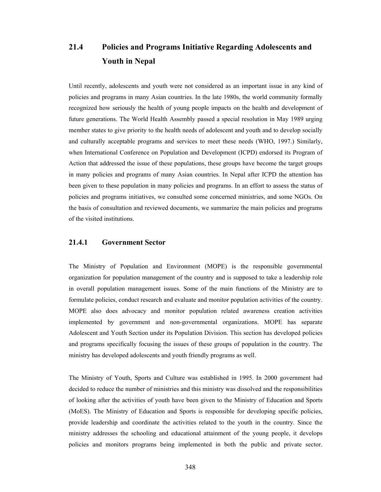# **21.4 Policies and Programs Initiative Regarding Adolescents and Youth in Nepal**

Until recently, adolescents and youth were not considered as an important issue in any kind of policies and programs in many Asian countries. In the late 1980s, the world community formally recognized how seriously the health of young people impacts on the health and development of future generations. The World Health Assembly passed a special resolution in May 1989 urging member states to give priority to the health needs of adolescent and youth and to develop socially and culturally acceptable programs and services to meet these needs (WHO, 1997.) Similarly, when International Conference on Population and Development (ICPD) endorsed its Program of Action that addressed the issue of these populations, these groups have become the target groups in many policies and programs of many Asian countries. In Nepal after ICPD the attention has been given to these population in many policies and programs. In an effort to assess the status of policies and programs initiatives, we consulted some concerned ministries, and some NGOs. On the basis of consultation and reviewed documents, we summarize the main policies and programs of the visited institutions.

# **21.4.1 Government Sector**

The Ministry of Population and Environment (MOPE) is the responsible governmental organization for population management of the country and is supposed to take a leadership role in overall population management issues. Some of the main functions of the Ministry are to formulate policies, conduct research and evaluate and monitor population activities of the country. MOPE also does advocacy and monitor population related awareness creation activities implemented by government and non-governmental organizations. MOPE has separate Adolescent and Youth Section under its Population Division. This section has developed policies and programs specifically focusing the issues of these groups of population in the country. The ministry has developed adolescents and youth friendly programs as well.

The Ministry of Youth, Sports and Culture was established in 1995. In 2000 government had decided to reduce the number of ministries and this ministry was dissolved and the responsibilities of looking after the activities of youth have been given to the Ministry of Education and Sports (MoES). The Ministry of Education and Sports is responsible for developing specific policies, provide leadership and coordinate the activities related to the youth in the country. Since the ministry addresses the schooling and educational attainment of the young people, it develops policies and monitors programs being implemented in both the public and private sector.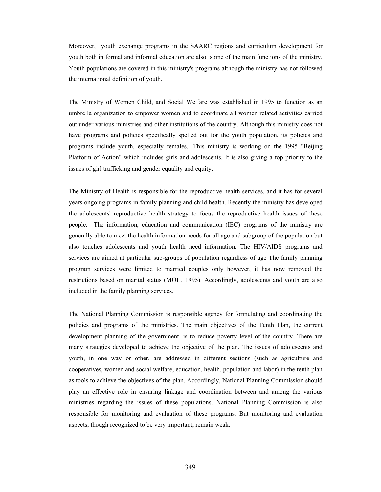Moreover, youth exchange programs in the SAARC regions and curriculum development for youth both in formal and informal education are also some of the main functions of the ministry. Youth populations are covered in this ministry's programs although the ministry has not followed the international definition of youth.

The Ministry of Women Child, and Social Welfare was established in 1995 to function as an umbrella organization to empower women and to coordinate all women related activities carried out under various ministries and other institutions of the country. Although this ministry does not have programs and policies specifically spelled out for the youth population, its policies and programs include youth, especially females.. This ministry is working on the 1995 "Beijing Platform of Action" which includes girls and adolescents. It is also giving a top priority to the issues of girl trafficking and gender equality and equity.

The Ministry of Health is responsible for the reproductive health services, and it has for several years ongoing programs in family planning and child health. Recently the ministry has developed the adolescents' reproductive health strategy to focus the reproductive health issues of these people. The information, education and communication (IEC) programs of the ministry are generally able to meet the health information needs for all age and subgroup of the population but also touches adolescents and youth health need information. The HIV/AIDS programs and services are aimed at particular sub-groups of population regardless of age The family planning program services were limited to married couples only however, it has now removed the restrictions based on marital status (MOH, 1995). Accordingly, adolescents and youth are also included in the family planning services.

The National Planning Commission is responsible agency for formulating and coordinating the policies and programs of the ministries. The main objectives of the Tenth Plan, the current development planning of the government, is to reduce poverty level of the country. There are many strategies developed to achieve the objective of the plan. The issues of adolescents and youth, in one way or other, are addressed in different sections (such as agriculture and cooperatives, women and social welfare, education, health, population and labor) in the tenth plan as tools to achieve the objectives of the plan. Accordingly, National Planning Commission should play an effective role in ensuring linkage and coordination between and among the various ministries regarding the issues of these populations. National Planning Commission is also responsible for monitoring and evaluation of these programs. But monitoring and evaluation aspects, though recognized to be very important, remain weak.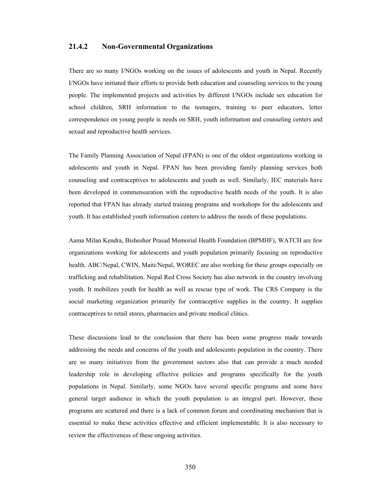## **21.4.2 Non-Governmental Organizations**

There are so many I/NGOs working on the issues of adolescents and youth in Nepal. Recently I/NGOs have initiated their efforts to provide both education and counseling services to the young people. The implemented projects and activities by different I/NGOs include sex education for school children, SRH information to the teenagers, training to peer educators, letter correspondence on young people is needs on SRH, youth information and counseling centers and sexual and reproductive health services.

The Family Planning Association of Nepal (FPAN) is one of the oldest organizations working in adolescents and youth in Nepal. FPAN has been providing family planning services both counseling and contraceptives to adolescents and youth as well. Similarly, IEC materials have been developed in commensuration with the reproductive health needs of the youth. It is also reported that FPAN has already started training programs and workshops for the adolescents and youth. It has established youth information centers to address the needs of these populations.

Aama Milan Kendra, Bisheshor Prasad Memorial Health Foundation (BPMHF), WATCH are few organizations working for adolescents and youth population primarily focusing on reproductive health. ABC/Nepal, CWIN, Maiti/Nepal, WOREC are also working for these groups especially on trafficking and rehabilitation. Nepal Red Cross Society has also network in the country involving youth. It mobilizes youth for health as well as rescue type of work. The CRS Company is the social marketing organization primarily for contraceptive supplies in the country. It supplies contraceptives to retail stores, pharmacies and private medical clinics.

These discussions lead to the conclusion that there has been some progress made towards addressing the needs and concerns of the youth and adolescents population in the country. There are so many initiatives from the government sectors also that can provide a much needed leadership role in developing effective policies and programs specifically for the youth populations in Nepal. Similarly, some NGOs have several specific programs and some have general target audience in which the youth population is an integral part. However, these programs are scattered and there is a lack of common forum and coordinating mechanism that is essential to make these activities effective and efficient implementable. It is also necessary to review the effectiveness of these ongoing activities.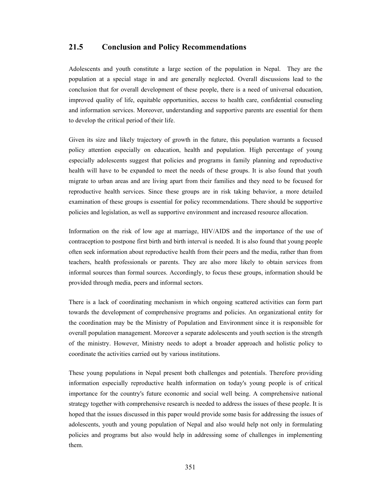# **21.5 Conclusion and Policy Recommendations**

Adolescents and youth constitute a large section of the population in Nepal. They are the population at a special stage in and are generally neglected. Overall discussions lead to the conclusion that for overall development of these people, there is a need of universal education, improved quality of life, equitable opportunities, access to health care, confidential counseling and information services. Moreover, understanding and supportive parents are essential for them to develop the critical period of their life.

Given its size and likely trajectory of growth in the future, this population warrants a focused policy attention especially on education, health and population. High percentage of young especially adolescents suggest that policies and programs in family planning and reproductive health will have to be expanded to meet the needs of these groups. It is also found that youth migrate to urban areas and are living apart from their families and they need to be focused for reproductive health services. Since these groups are in risk taking behavior, a more detailed examination of these groups is essential for policy recommendations. There should be supportive policies and legislation, as well as supportive environment and increased resource allocation.

Information on the risk of low age at marriage, HIV/AIDS and the importance of the use of contraception to postpone first birth and birth interval is needed. It is also found that young people often seek information about reproductive health from their peers and the media, rather than from teachers, health professionals or parents. They are also more likely to obtain services from informal sources than formal sources. Accordingly, to focus these groups, information should be provided through media, peers and informal sectors.

There is a lack of coordinating mechanism in which ongoing scattered activities can form part towards the development of comprehensive programs and policies. An organizational entity for the coordination may be the Ministry of Population and Environment since it is responsible for overall population management. Moreover a separate adolescents and youth section is the strength of the ministry. However, Ministry needs to adopt a broader approach and holistic policy to coordinate the activities carried out by various institutions.

These young populations in Nepal present both challenges and potentials. Therefore providing information especially reproductive health information on today's young people is of critical importance for the country's future economic and social well being. A comprehensive national strategy together with comprehensive research is needed to address the issues of these people. It is hoped that the issues discussed in this paper would provide some basis for addressing the issues of adolescents, youth and young population of Nepal and also would help not only in formulating policies and programs but also would help in addressing some of challenges in implementing them.